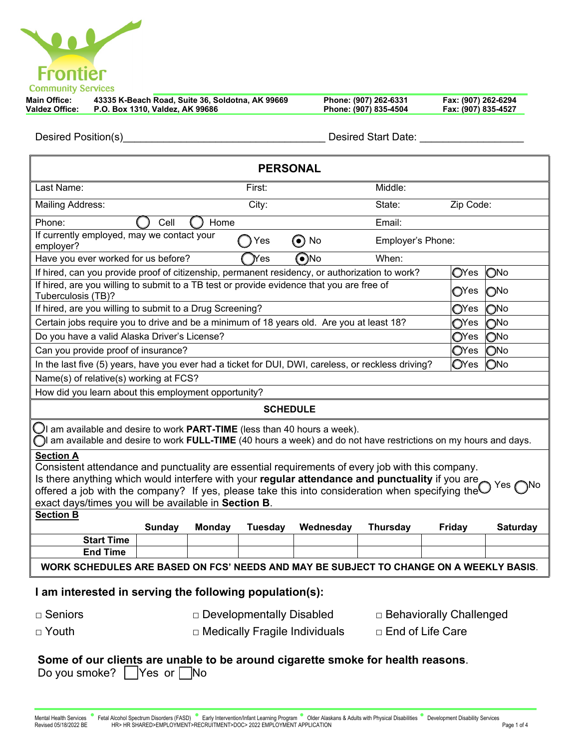| <b>Frontier</b>           |
|---------------------------|
| <b>Community Services</b> |

| <b>Main Office:</b> |                                                | 43335 K-Beach Road, Suite 36, Soldotna, AK 99669 | Phone: (907) 262-6331 | Fax: (907) 262-6294 |
|---------------------|------------------------------------------------|--------------------------------------------------|-----------------------|---------------------|
|                     | Valdez Office: P.O. Box 1310, Valdez, AK 99686 |                                                  | Phone: (907) 835-4504 | Fax: (907) 835-4527 |

Desired Position(s)\_\_\_\_\_\_\_\_\_\_\_\_\_\_\_\_\_\_\_\_\_\_\_\_\_\_\_\_\_\_\_\_\_\_\_ Desired Start Date: \_\_\_\_\_\_\_\_\_\_\_\_\_\_\_\_\_\_

| <b>PERSONAL</b>                                                                                                                                                                                                                                                                                                                                                                                          |                                                                      |               |                |           |                 |                             |                 |  |  |  |
|----------------------------------------------------------------------------------------------------------------------------------------------------------------------------------------------------------------------------------------------------------------------------------------------------------------------------------------------------------------------------------------------------------|----------------------------------------------------------------------|---------------|----------------|-----------|-----------------|-----------------------------|-----------------|--|--|--|
| Last Name:                                                                                                                                                                                                                                                                                                                                                                                               |                                                                      |               | First:         |           | Middle:         |                             |                 |  |  |  |
| <b>Mailing Address:</b>                                                                                                                                                                                                                                                                                                                                                                                  |                                                                      |               | City:          |           | State:          | Zip Code:                   |                 |  |  |  |
| Phone:<br>Cell<br>Home<br>Email:                                                                                                                                                                                                                                                                                                                                                                         |                                                                      |               |                |           |                 |                             |                 |  |  |  |
| If currently employed, may we contact your<br>$\odot$ No<br>Employer's Phone:<br>Yes<br>employer?                                                                                                                                                                                                                                                                                                        |                                                                      |               |                |           |                 |                             |                 |  |  |  |
|                                                                                                                                                                                                                                                                                                                                                                                                          | $\bigcirc$ No<br>Have you ever worked for us before?<br>When:<br>Yes |               |                |           |                 |                             |                 |  |  |  |
| If hired, can you provide proof of citizenship, permanent residency, or authorization to work?                                                                                                                                                                                                                                                                                                           |                                                                      |               |                |           |                 | $O$ Yes                     | ONo             |  |  |  |
| If hired, are you willing to submit to a TB test or provide evidence that you are free of<br>Tuberculosis (TB)?                                                                                                                                                                                                                                                                                          |                                                                      |               |                |           |                 | $\bigcirc$ Yes              | $\bigcirc$ No   |  |  |  |
| If hired, are you willing to submit to a Drug Screening?                                                                                                                                                                                                                                                                                                                                                 |                                                                      |               |                |           |                 | $\mathsf{O}$ Yes            | $\bigcirc$ No   |  |  |  |
| Certain jobs require you to drive and be a minimum of 18 years old. Are you at least 18?                                                                                                                                                                                                                                                                                                                 |                                                                      |               |                |           |                 | $\mathbb{O}^{\mathsf{Yes}}$ | $\bigcirc$ No   |  |  |  |
| Do you have a valid Alaska Driver's License?                                                                                                                                                                                                                                                                                                                                                             |                                                                      |               |                |           |                 | $\mathbb{O}^{\mathsf{Yes}}$ | ONo             |  |  |  |
| Can you provide proof of insurance?                                                                                                                                                                                                                                                                                                                                                                      |                                                                      |               |                |           |                 | $\mathbb{O}$ Yes            | ONo             |  |  |  |
| In the last five (5) years, have you ever had a ticket for DUI, DWI, careless, or reckless driving?                                                                                                                                                                                                                                                                                                      |                                                                      |               |                |           |                 | $\mathbf{O}$ Yes            | ONo             |  |  |  |
| Name(s) of relative(s) working at FCS?                                                                                                                                                                                                                                                                                                                                                                   |                                                                      |               |                |           |                 |                             |                 |  |  |  |
| How did you learn about this employment opportunity?                                                                                                                                                                                                                                                                                                                                                     |                                                                      |               |                |           |                 |                             |                 |  |  |  |
| <b>SCHEDULE</b>                                                                                                                                                                                                                                                                                                                                                                                          |                                                                      |               |                |           |                 |                             |                 |  |  |  |
| $\bigcup$ l am available and desire to work PART-TIME (less than 40 hours a week).<br>am available and desire to work FULL-TIME (40 hours a week) and do not have restrictions on my hours and days.                                                                                                                                                                                                     |                                                                      |               |                |           |                 |                             |                 |  |  |  |
| <b>Section A</b><br>Consistent attendance and punctuality are essential requirements of every job with this company.<br>Is there anything which would interfere with your regular attendance and punctuality if you are<br>Yes<br>offered a job with the company? If yes, please take this into consideration when specifying the $\blacksquare$<br>exact days/times you will be available in Section B. |                                                                      |               |                |           |                 |                             |                 |  |  |  |
| <b>Section B</b>                                                                                                                                                                                                                                                                                                                                                                                         |                                                                      |               |                |           |                 |                             |                 |  |  |  |
|                                                                                                                                                                                                                                                                                                                                                                                                          | Sunday                                                               | <b>Monday</b> | <b>Tuesday</b> | Wednesday | <b>Thursday</b> | Friday                      | <b>Saturday</b> |  |  |  |
| <b>Start Time</b>                                                                                                                                                                                                                                                                                                                                                                                        |                                                                      |               |                |           |                 |                             |                 |  |  |  |
| <b>End Time</b>                                                                                                                                                                                                                                                                                                                                                                                          |                                                                      |               |                |           |                 |                             |                 |  |  |  |
| WORK SCHEDULES ARE BASED ON FCS' NEEDS AND MAY BE SUBJECT TO CHANGE ON A WEEKLY BASIS.                                                                                                                                                                                                                                                                                                                   |                                                                      |               |                |           |                 |                             |                 |  |  |  |
| I am interested in serving the following population(s):                                                                                                                                                                                                                                                                                                                                                  |                                                                      |               |                |           |                 |                             |                 |  |  |  |
| □ Seniors<br>□ Developmentally Disabled<br>□ Behaviorally Challenged                                                                                                                                                                                                                                                                                                                                     |                                                                      |               |                |           |                 |                             |                 |  |  |  |
| $\Box$ Youth                                                                                                                                                                                                                                                                                                                                                                                             | □ End of Life Care<br>$\Box$ Medically Fragile Individuals           |               |                |           |                 |                             |                 |  |  |  |
| Some of our clients are unable to be around cigarette smoke for health reasons.                                                                                                                                                                                                                                                                                                                          |                                                                      |               |                |           |                 |                             |                 |  |  |  |

| Do you smoke? $\Box$ Yes or $\Box$ No |  |  |
|---------------------------------------|--|--|
|---------------------------------------|--|--|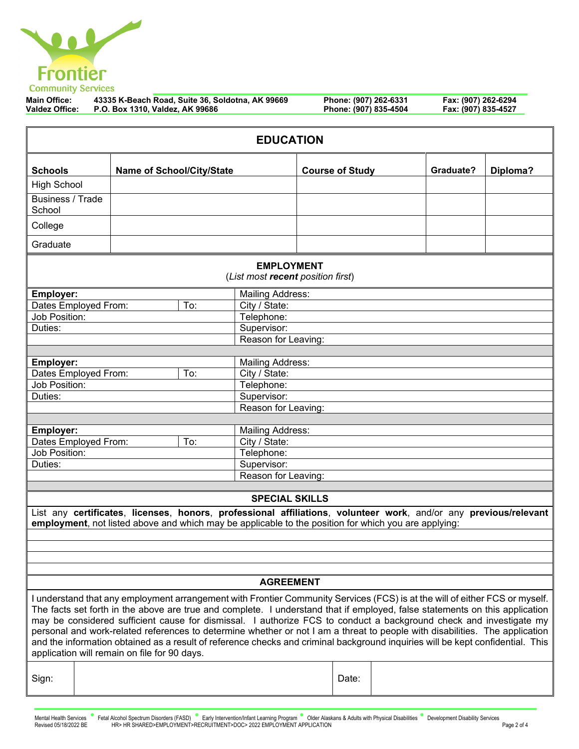

| <b>Main Office:</b> | 43335 K-Beach Road, Suite 36, Soldotna, AK 99669 | Phone: (907) 262-6331 | Fax: (907) 262-6294 |
|---------------------|--------------------------------------------------|-----------------------|---------------------|
| Valdez Office:      | P.O. Box 1310, Valdez, AK 99686                  | Phone: (907) 835-4504 | Fax: (907) 835-4527 |

| <b>EDUCATION</b>                                                                                                                                                                                                                                                                                                                                                                                                                                                                                                                                                                                                                                                                                  |                             |                                                                                                                                                                                                                          |                     |                                                                                                |  |                        |                                 |          |
|---------------------------------------------------------------------------------------------------------------------------------------------------------------------------------------------------------------------------------------------------------------------------------------------------------------------------------------------------------------------------------------------------------------------------------------------------------------------------------------------------------------------------------------------------------------------------------------------------------------------------------------------------------------------------------------------------|-----------------------------|--------------------------------------------------------------------------------------------------------------------------------------------------------------------------------------------------------------------------|---------------------|------------------------------------------------------------------------------------------------|--|------------------------|---------------------------------|----------|
| <b>Schools</b>                                                                                                                                                                                                                                                                                                                                                                                                                                                                                                                                                                                                                                                                                    |                             | <b>Name of School/City/State</b>                                                                                                                                                                                         |                     |                                                                                                |  | <b>Course of Study</b> | Graduate?                       | Diploma? |
| <b>High School</b>                                                                                                                                                                                                                                                                                                                                                                                                                                                                                                                                                                                                                                                                                |                             |                                                                                                                                                                                                                          |                     |                                                                                                |  |                        |                                 |          |
| <b>Business / Trade</b><br>School                                                                                                                                                                                                                                                                                                                                                                                                                                                                                                                                                                                                                                                                 |                             |                                                                                                                                                                                                                          |                     |                                                                                                |  |                        |                                 |          |
| College                                                                                                                                                                                                                                                                                                                                                                                                                                                                                                                                                                                                                                                                                           |                             |                                                                                                                                                                                                                          |                     |                                                                                                |  |                        |                                 |          |
| Graduate                                                                                                                                                                                                                                                                                                                                                                                                                                                                                                                                                                                                                                                                                          |                             |                                                                                                                                                                                                                          |                     |                                                                                                |  |                        |                                 |          |
|                                                                                                                                                                                                                                                                                                                                                                                                                                                                                                                                                                                                                                                                                                   |                             |                                                                                                                                                                                                                          |                     | <b>EMPLOYMENT</b><br>(List most recent position first)                                         |  |                        |                                 |          |
| <b>Employer:</b>                                                                                                                                                                                                                                                                                                                                                                                                                                                                                                                                                                                                                                                                                  |                             |                                                                                                                                                                                                                          |                     | <b>Mailing Address:</b>                                                                        |  |                        |                                 |          |
| Dates Employed From:                                                                                                                                                                                                                                                                                                                                                                                                                                                                                                                                                                                                                                                                              |                             |                                                                                                                                                                                                                          | To:                 | City / State:                                                                                  |  |                        |                                 |          |
| Job Position:                                                                                                                                                                                                                                                                                                                                                                                                                                                                                                                                                                                                                                                                                     |                             |                                                                                                                                                                                                                          |                     | Telephone:                                                                                     |  |                        |                                 |          |
| Duties:                                                                                                                                                                                                                                                                                                                                                                                                                                                                                                                                                                                                                                                                                           |                             |                                                                                                                                                                                                                          |                     | Supervisor:                                                                                    |  |                        |                                 |          |
|                                                                                                                                                                                                                                                                                                                                                                                                                                                                                                                                                                                                                                                                                                   |                             |                                                                                                                                                                                                                          |                     | Reason for Leaving:                                                                            |  |                        |                                 |          |
|                                                                                                                                                                                                                                                                                                                                                                                                                                                                                                                                                                                                                                                                                                   |                             |                                                                                                                                                                                                                          |                     |                                                                                                |  |                        |                                 |          |
| Employer:                                                                                                                                                                                                                                                                                                                                                                                                                                                                                                                                                                                                                                                                                         |                             |                                                                                                                                                                                                                          |                     | <b>Mailing Address:</b>                                                                        |  |                        |                                 |          |
| Dates Employed From:                                                                                                                                                                                                                                                                                                                                                                                                                                                                                                                                                                                                                                                                              |                             |                                                                                                                                                                                                                          | To:                 | City / State:                                                                                  |  |                        |                                 |          |
| Job Position:                                                                                                                                                                                                                                                                                                                                                                                                                                                                                                                                                                                                                                                                                     |                             |                                                                                                                                                                                                                          |                     | Telephone:                                                                                     |  |                        |                                 |          |
| Duties:                                                                                                                                                                                                                                                                                                                                                                                                                                                                                                                                                                                                                                                                                           |                             |                                                                                                                                                                                                                          |                     | Supervisor:                                                                                    |  |                        |                                 |          |
|                                                                                                                                                                                                                                                                                                                                                                                                                                                                                                                                                                                                                                                                                                   |                             |                                                                                                                                                                                                                          |                     | Reason for Leaving:                                                                            |  |                        |                                 |          |
|                                                                                                                                                                                                                                                                                                                                                                                                                                                                                                                                                                                                                                                                                                   |                             |                                                                                                                                                                                                                          |                     |                                                                                                |  |                        |                                 |          |
| Employer:                                                                                                                                                                                                                                                                                                                                                                                                                                                                                                                                                                                                                                                                                         |                             |                                                                                                                                                                                                                          |                     | <b>Mailing Address:</b>                                                                        |  |                        |                                 |          |
| Dates Employed From:                                                                                                                                                                                                                                                                                                                                                                                                                                                                                                                                                                                                                                                                              |                             |                                                                                                                                                                                                                          | To:                 | City / State:                                                                                  |  |                        |                                 |          |
|                                                                                                                                                                                                                                                                                                                                                                                                                                                                                                                                                                                                                                                                                                   | Job Position:<br>Telephone: |                                                                                                                                                                                                                          |                     |                                                                                                |  |                        |                                 |          |
| Duties:                                                                                                                                                                                                                                                                                                                                                                                                                                                                                                                                                                                                                                                                                           |                             |                                                                                                                                                                                                                          |                     | Supervisor:                                                                                    |  |                        |                                 |          |
|                                                                                                                                                                                                                                                                                                                                                                                                                                                                                                                                                                                                                                                                                                   |                             |                                                                                                                                                                                                                          | Reason for Leaving: |                                                                                                |  |                        |                                 |          |
|                                                                                                                                                                                                                                                                                                                                                                                                                                                                                                                                                                                                                                                                                                   |                             |                                                                                                                                                                                                                          |                     |                                                                                                |  |                        |                                 |          |
| <b>SPECIAL SKILLS</b>                                                                                                                                                                                                                                                                                                                                                                                                                                                                                                                                                                                                                                                                             |                             |                                                                                                                                                                                                                          |                     |                                                                                                |  |                        |                                 |          |
|                                                                                                                                                                                                                                                                                                                                                                                                                                                                                                                                                                                                                                                                                                   |                             | List any certificates, licenses, honors, professional affiliations, volunteer work, and/or any previous/relevant<br>employment, not listed above and which may be applicable to the position for which you are applying: |                     |                                                                                                |  |                        |                                 |          |
|                                                                                                                                                                                                                                                                                                                                                                                                                                                                                                                                                                                                                                                                                                   |                             |                                                                                                                                                                                                                          |                     |                                                                                                |  |                        |                                 |          |
|                                                                                                                                                                                                                                                                                                                                                                                                                                                                                                                                                                                                                                                                                                   |                             |                                                                                                                                                                                                                          |                     |                                                                                                |  |                        |                                 |          |
|                                                                                                                                                                                                                                                                                                                                                                                                                                                                                                                                                                                                                                                                                                   |                             |                                                                                                                                                                                                                          |                     |                                                                                                |  |                        |                                 |          |
| <b>AGREEMENT</b>                                                                                                                                                                                                                                                                                                                                                                                                                                                                                                                                                                                                                                                                                  |                             |                                                                                                                                                                                                                          |                     |                                                                                                |  |                        |                                 |          |
| I understand that any employment arrangement with Frontier Community Services (FCS) is at the will of either FCS or myself.<br>The facts set forth in the above are true and complete. I understand that if employed, false statements on this application<br>may be considered sufficient cause for dismissal. I authorize FCS to conduct a background check and investigate my<br>personal and work-related references to determine whether or not I am a threat to people with disabilities. The application<br>and the information obtained as a result of reference checks and criminal background inquiries will be kept confidential. This<br>application will remain on file for 90 days. |                             |                                                                                                                                                                                                                          |                     |                                                                                                |  |                        |                                 |          |
| Sign:                                                                                                                                                                                                                                                                                                                                                                                                                                                                                                                                                                                                                                                                                             | Date:                       |                                                                                                                                                                                                                          |                     |                                                                                                |  |                        |                                 |          |
| Mental Health Services                                                                                                                                                                                                                                                                                                                                                                                                                                                                                                                                                                                                                                                                            |                             | Fetal Alcohol Spectrum Disorders (FASD)                                                                                                                                                                                  |                     | Early Intervention/Infant Learning Program  Older Alaskans & Adults with Physical Disabilities |  |                        | Development Disability Services |          |

Mental Health Services Fetal Alcohol Spectrum Disorders (FASD) Early Intervention/Infant Learning Program Older Alaskans & Adults with Physical Disabilities Development Disability Services<br>Revised 05/18/2022 BE HR>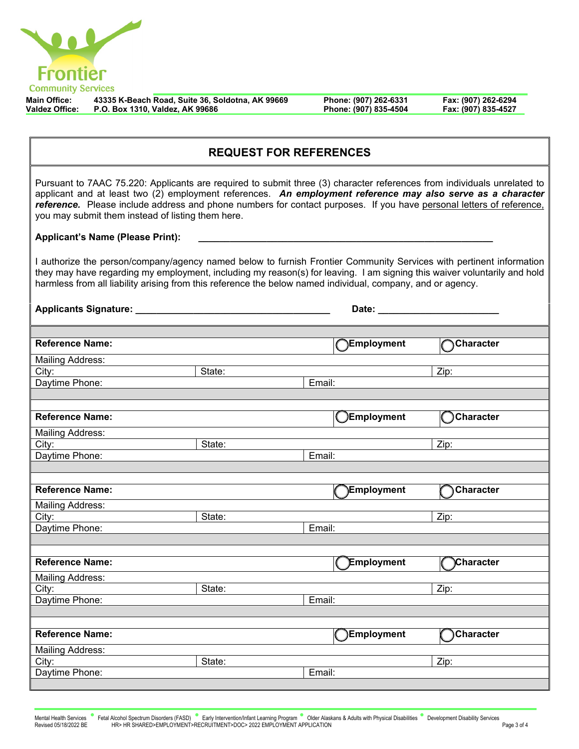

**Main Office: 43335 K-Beach Road, Suite 36, Soldotna, AK 99669 Phone: (907) 262-6331 Fax: (907) 262-6294 Valdez Office: P.O. Box 1310, Valdez, AK 99686 Phone: (907) 835-4504 Fax: (907) 835-4527**

| <b>REQUEST FOR REFERENCES</b>                                                                                                                                                                                                                                                                                                                                                                                       |        |        |                   |                  |  |  |
|---------------------------------------------------------------------------------------------------------------------------------------------------------------------------------------------------------------------------------------------------------------------------------------------------------------------------------------------------------------------------------------------------------------------|--------|--------|-------------------|------------------|--|--|
| Pursuant to 7AAC 75.220: Applicants are required to submit three (3) character references from individuals unrelated to<br>applicant and at least two (2) employment references. An employment reference may also serve as a character<br>reference. Please include address and phone numbers for contact purposes. If you have personal letters of reference,<br>you may submit them instead of listing them here. |        |        |                   |                  |  |  |
| <b>Applicant's Name (Please Print):</b>                                                                                                                                                                                                                                                                                                                                                                             |        |        |                   |                  |  |  |
| I authorize the person/company/agency named below to furnish Frontier Community Services with pertinent information<br>they may have regarding my employment, including my reason(s) for leaving. I am signing this waiver voluntarily and hold<br>harmless from all liability arising from this reference the below named individual, company, and or agency.                                                      |        |        |                   |                  |  |  |
|                                                                                                                                                                                                                                                                                                                                                                                                                     |        |        |                   |                  |  |  |
|                                                                                                                                                                                                                                                                                                                                                                                                                     |        |        |                   |                  |  |  |
| <b>Reference Name:</b>                                                                                                                                                                                                                                                                                                                                                                                              |        |        | <b>Employment</b> | Character        |  |  |
| <b>Mailing Address:</b>                                                                                                                                                                                                                                                                                                                                                                                             |        |        |                   |                  |  |  |
| City:                                                                                                                                                                                                                                                                                                                                                                                                               | State: |        |                   | Zip:             |  |  |
| Daytime Phone:                                                                                                                                                                                                                                                                                                                                                                                                      |        | Email: |                   |                  |  |  |
|                                                                                                                                                                                                                                                                                                                                                                                                                     |        |        |                   |                  |  |  |
| <b>Reference Name:</b>                                                                                                                                                                                                                                                                                                                                                                                              |        |        | Employment        | Character        |  |  |
| <b>Mailing Address:</b>                                                                                                                                                                                                                                                                                                                                                                                             |        |        |                   |                  |  |  |
| City:                                                                                                                                                                                                                                                                                                                                                                                                               | State: |        |                   | Zip:             |  |  |
| Daytime Phone:                                                                                                                                                                                                                                                                                                                                                                                                      |        | Email: |                   |                  |  |  |
|                                                                                                                                                                                                                                                                                                                                                                                                                     |        |        |                   |                  |  |  |
|                                                                                                                                                                                                                                                                                                                                                                                                                     |        |        |                   |                  |  |  |
| <b>Reference Name:</b>                                                                                                                                                                                                                                                                                                                                                                                              |        |        | <b>Employment</b> | <b>Character</b> |  |  |
| <b>Mailing Address:</b>                                                                                                                                                                                                                                                                                                                                                                                             |        |        |                   |                  |  |  |
| City:                                                                                                                                                                                                                                                                                                                                                                                                               | State: |        |                   | Zip:             |  |  |
| Daytime Phone:                                                                                                                                                                                                                                                                                                                                                                                                      |        | Email: |                   |                  |  |  |
|                                                                                                                                                                                                                                                                                                                                                                                                                     |        |        |                   |                  |  |  |
| <b>Reference Name:</b>                                                                                                                                                                                                                                                                                                                                                                                              |        |        | Employment        | <b>Character</b> |  |  |
|                                                                                                                                                                                                                                                                                                                                                                                                                     |        |        |                   |                  |  |  |
| <b>Mailing Address:</b>                                                                                                                                                                                                                                                                                                                                                                                             |        |        |                   |                  |  |  |
| City:                                                                                                                                                                                                                                                                                                                                                                                                               | State: |        |                   | Zip:             |  |  |
| Daytime Phone:                                                                                                                                                                                                                                                                                                                                                                                                      |        | Email: |                   |                  |  |  |
|                                                                                                                                                                                                                                                                                                                                                                                                                     |        |        |                   |                  |  |  |
| <b>Reference Name:</b>                                                                                                                                                                                                                                                                                                                                                                                              |        |        | Employment        | Character        |  |  |
| <b>Mailing Address:</b>                                                                                                                                                                                                                                                                                                                                                                                             |        |        |                   |                  |  |  |
| City:                                                                                                                                                                                                                                                                                                                                                                                                               | State: |        |                   | Zip:             |  |  |
| Daytime Phone:                                                                                                                                                                                                                                                                                                                                                                                                      |        | Email: |                   |                  |  |  |
|                                                                                                                                                                                                                                                                                                                                                                                                                     |        |        |                   |                  |  |  |